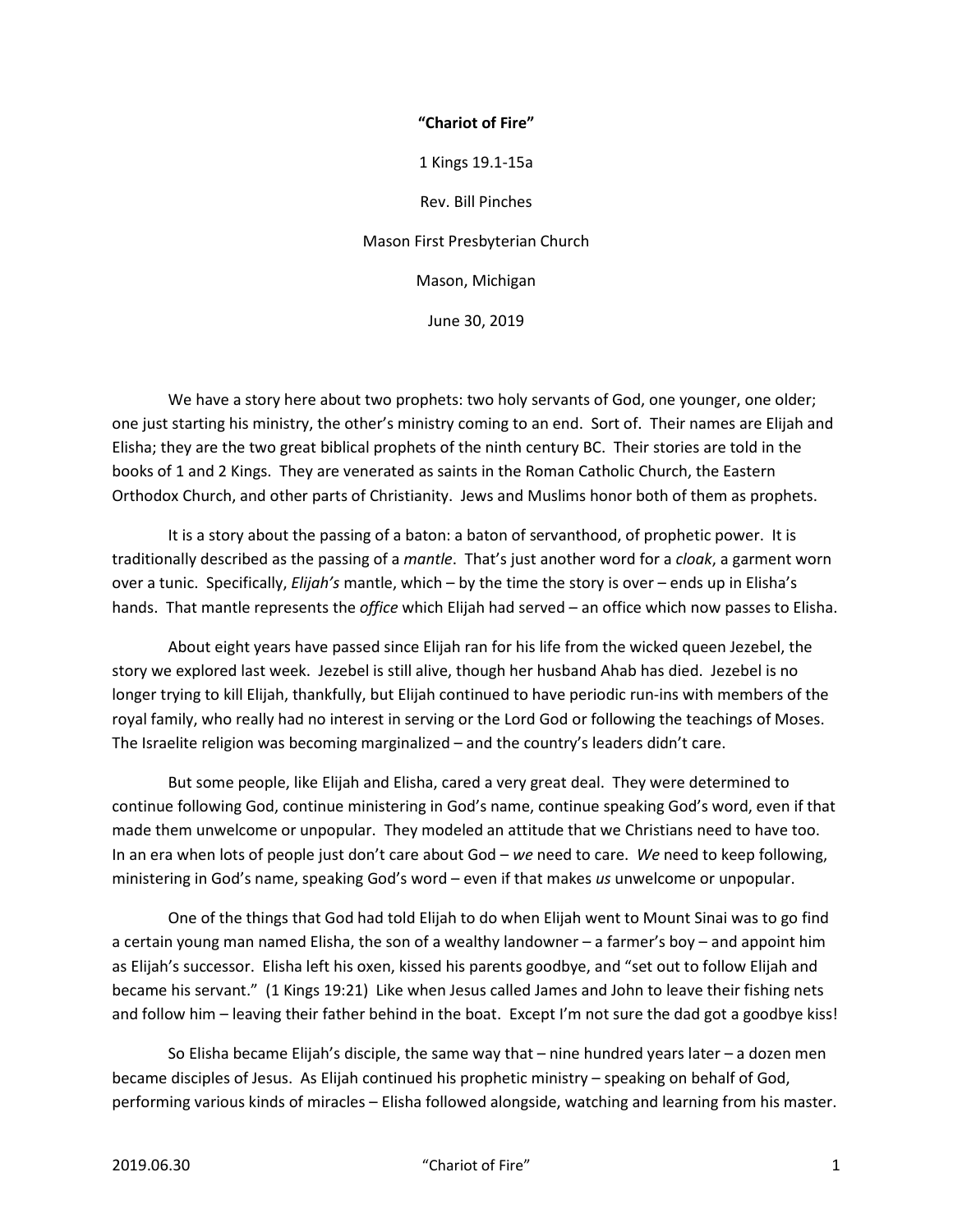## **"Chariot of Fire"**

1 Kings 19.1-15a

Rev. Bill Pinches

Mason First Presbyterian Church

Mason, Michigan

June 30, 2019

 We have a story here about two prophets: two holy servants of God, one younger, one older; one just starting his ministry, the other's ministry coming to an end. Sort of. Their names are Elijah and Elisha; they are the two great biblical prophets of the ninth century BC. Their stories are told in the books of 1 and 2 Kings. They are venerated as saints in the Roman Catholic Church, the Eastern Orthodox Church, and other parts of Christianity. Jews and Muslims honor both of them as prophets.

 It is a story about the passing of a baton: a baton of servanthood, of prophetic power. It is traditionally described as the passing of a *mantle*. That's just another word for a *cloak*, a garment worn over a tunic. Specifically, *Elijah's* mantle, which – by the time the story is over – ends up in Elisha's hands. That mantle represents the *office* which Elijah had served – an office which now passes to Elisha.

 About eight years have passed since Elijah ran for his life from the wicked queen Jezebel, the story we explored last week. Jezebel is still alive, though her husband Ahab has died. Jezebel is no longer trying to kill Elijah, thankfully, but Elijah continued to have periodic run-ins with members of the royal family, who really had no interest in serving or the Lord God or following the teachings of Moses. The Israelite religion was becoming marginalized – and the country's leaders didn't care.

 But some people, like Elijah and Elisha, cared a very great deal. They were determined to continue following God, continue ministering in God's name, continue speaking God's word, even if that made them unwelcome or unpopular. They modeled an attitude that we Christians need to have too. In an era when lots of people just don't care about God – *we* need to care. *We* need to keep following, ministering in God's name, speaking God's word – even if that makes *us* unwelcome or unpopular.

 One of the things that God had told Elijah to do when Elijah went to Mount Sinai was to go find a certain young man named Elisha, the son of a wealthy landowner – a farmer's boy – and appoint him as Elijah's successor. Elisha left his oxen, kissed his parents goodbye, and "set out to follow Elijah and became his servant." (1 Kings 19:21) Like when Jesus called James and John to leave their fishing nets and follow him – leaving their father behind in the boat. Except I'm not sure the dad got a goodbye kiss!

 So Elisha became Elijah's disciple, the same way that – nine hundred years later – a dozen men became disciples of Jesus. As Elijah continued his prophetic ministry – speaking on behalf of God, performing various kinds of miracles – Elisha followed alongside, watching and learning from his master.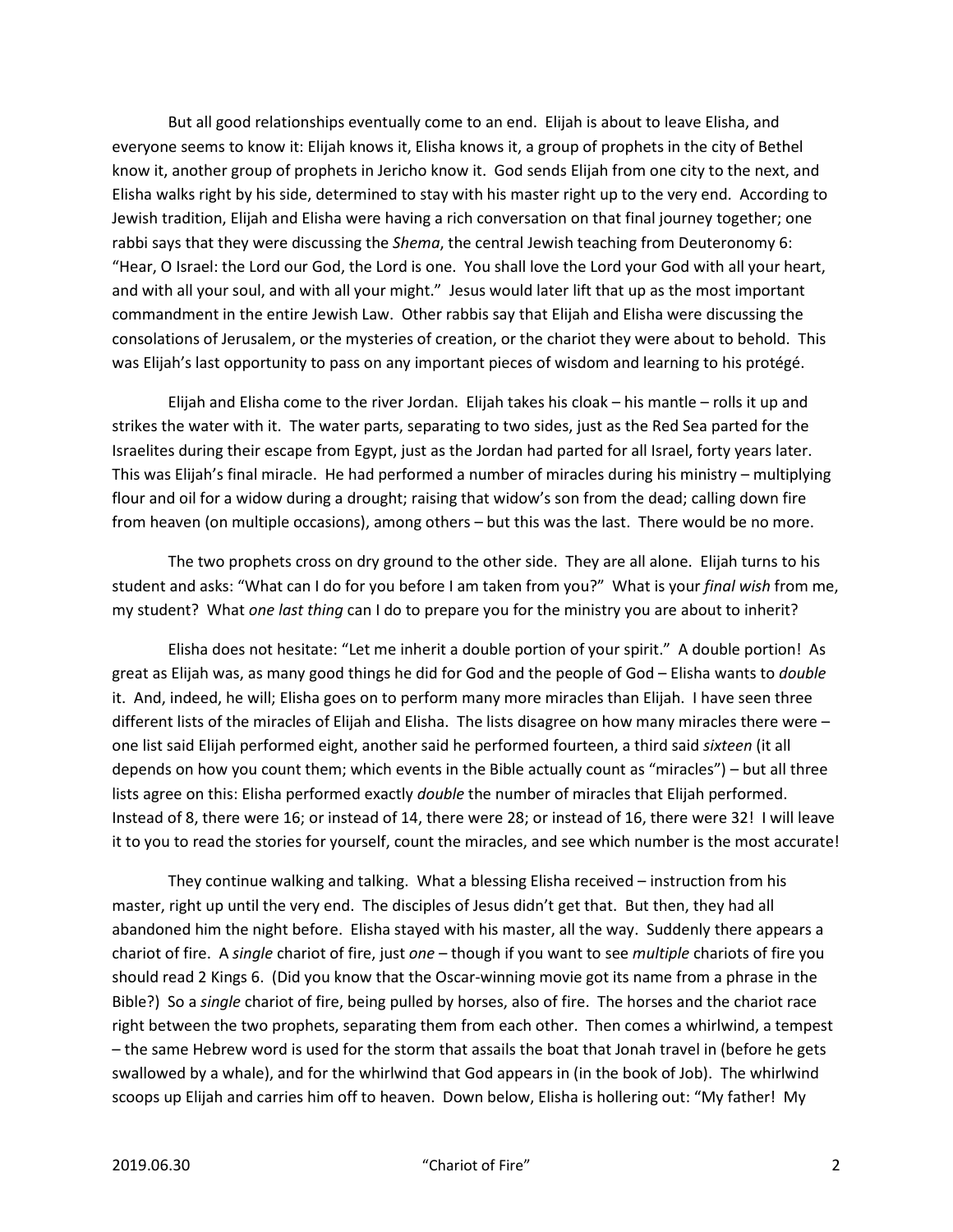But all good relationships eventually come to an end. Elijah is about to leave Elisha, and everyone seems to know it: Elijah knows it, Elisha knows it, a group of prophets in the city of Bethel know it, another group of prophets in Jericho know it. God sends Elijah from one city to the next, and Elisha walks right by his side, determined to stay with his master right up to the very end. According to Jewish tradition, Elijah and Elisha were having a rich conversation on that final journey together; one rabbi says that they were discussing the *Shema*, the central Jewish teaching from Deuteronomy 6: "Hear, O Israel: the Lord our God, the Lord is one. You shall love the Lord your God with all your heart, and with all your soul, and with all your might." Jesus would later lift that up as the most important commandment in the entire Jewish Law. Other rabbis say that Elijah and Elisha were discussing the consolations of Jerusalem, or the mysteries of creation, or the chariot they were about to behold. This was Elijah's last opportunity to pass on any important pieces of wisdom and learning to his protégé.

 Elijah and Elisha come to the river Jordan. Elijah takes his cloak – his mantle – rolls it up and strikes the water with it. The water parts, separating to two sides, just as the Red Sea parted for the Israelites during their escape from Egypt, just as the Jordan had parted for all Israel, forty years later. This was Elijah's final miracle. He had performed a number of miracles during his ministry – multiplying flour and oil for a widow during a drought; raising that widow's son from the dead; calling down fire from heaven (on multiple occasions), among others – but this was the last. There would be no more.

 The two prophets cross on dry ground to the other side. They are all alone. Elijah turns to his student and asks: "What can I do for you before I am taken from you?" What is your *final wish* from me, my student? What *one last thing* can I do to prepare you for the ministry you are about to inherit?

 Elisha does not hesitate: "Let me inherit a double portion of your spirit." A double portion! As great as Elijah was, as many good things he did for God and the people of God – Elisha wants to *double* it. And, indeed, he will; Elisha goes on to perform many more miracles than Elijah. I have seen three different lists of the miracles of Elijah and Elisha. The lists disagree on how many miracles there were one list said Elijah performed eight, another said he performed fourteen, a third said *sixteen* (it all depends on how you count them; which events in the Bible actually count as "miracles") – but all three lists agree on this: Elisha performed exactly *double* the number of miracles that Elijah performed. Instead of 8, there were 16; or instead of 14, there were 28; or instead of 16, there were 32! I will leave it to you to read the stories for yourself, count the miracles, and see which number is the most accurate!

 They continue walking and talking. What a blessing Elisha received – instruction from his master, right up until the very end. The disciples of Jesus didn't get that. But then, they had all abandoned him the night before. Elisha stayed with his master, all the way. Suddenly there appears a chariot of fire. A *single* chariot of fire, just *one* – though if you want to see *multiple* chariots of fire you should read 2 Kings 6. (Did you know that the Oscar-winning movie got its name from a phrase in the Bible?) So a *single* chariot of fire, being pulled by horses, also of fire. The horses and the chariot race right between the two prophets, separating them from each other. Then comes a whirlwind, a tempest – the same Hebrew word is used for the storm that assails the boat that Jonah travel in (before he gets swallowed by a whale), and for the whirlwind that God appears in (in the book of Job). The whirlwind scoops up Elijah and carries him off to heaven. Down below, Elisha is hollering out: "My father! My